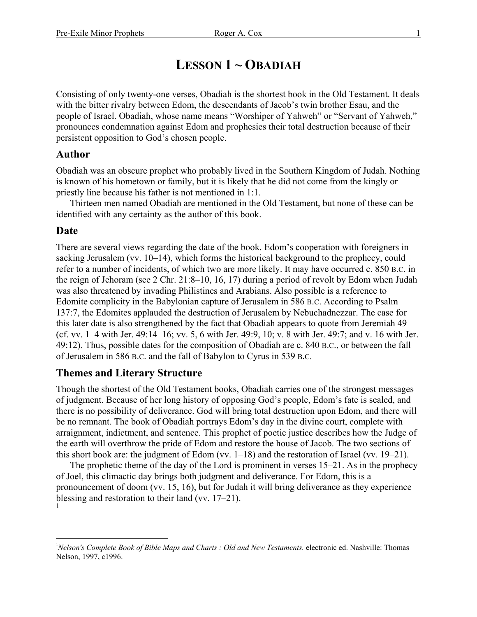# **LESSON 1 ~ OBADIAH**

Consisting of only twenty-one verses, Obadiah is the shortest book in the Old Testament. It deals with the bitter rivalry between Edom, the descendants of Jacob's twin brother Esau, and the people of Israel. Obadiah, whose name means "Worshiper of Yahweh" or "Servant of Yahweh," pronounces condemnation against Edom and prophesies their total destruction because of their persistent opposition to God's chosen people.

#### **Author**

Obadiah was an obscure prophet who probably lived in the Southern Kingdom of Judah. Nothing is known of his hometown or family, but it is likely that he did not come from the kingly or priestly line because his father is not mentioned in 1:1.

Thirteen men named Obadiah are mentioned in the Old Testament, but none of these can be identified with any certainty as the author of this book.

#### **Date**

There are several views regarding the date of the book. Edom's cooperation with foreigners in sacking Jerusalem (vv. 10–14), which forms the historical background to the prophecy, could refer to a number of incidents, of which two are more likely. It may have occurred c. 850 B.C. in the reign of Jehoram (see 2 Chr. 21:8–10, 16, 17) during a period of revolt by Edom when Judah was also threatened by invading Philistines and Arabians. Also possible is a reference to Edomite complicity in the Babylonian capture of Jerusalem in 586 B.C. According to Psalm 137:7, the Edomites applauded the destruction of Jerusalem by Nebuchadnezzar. The case for this later date is also strengthened by the fact that Obadiah appears to quote from Jeremiah 49 (cf. vv. 1–4 with Jer. 49:14–16; vv. 5, 6 with Jer. 49:9, 10; v. 8 with Jer. 49:7; and v. 16 with Jer. 49:12). Thus, possible dates for the composition of Obadiah are c. 840 B.C., or between the fall of Jerusalem in 586 B.C. and the fall of Babylon to Cyrus in 539 B.C.

#### **Themes and Literary Structure**

Though the shortest of the Old Testament books, Obadiah carries one of the strongest messages of judgment. Because of her long history of opposing God's people, Edom's fate is sealed, and there is no possibility of deliverance. God will bring total destruction upon Edom, and there will be no remnant. The book of Obadiah portrays Edom's day in the divine court, complete with arraignment, indictment, and sentence. This prophet of poetic justice describes how the Judge of the earth will overthrow the pride of Edom and restore the house of Jacob. The two sections of this short book are: the judgment of Edom (vv. 1–18) and the restoration of Israel (vv. 19–21).

The prophetic theme of the day of the Lord is prominent in verses 15–21. As in the prophecy of Joel, this climactic day brings both judgment and deliverance. For Edom, this is a pronouncement of doom (vv. 15, 16), but for Judah it will bring deliverance as they experience blessing and restoration to their land (vv. 17–21). 1

 $\overline{a}$ <sup>1</sup>Nelson's Complete Book of Bible Maps and Charts : Old and New Testaments. electronic ed. Nashville: Thomas Nelson, 1997, c1996.